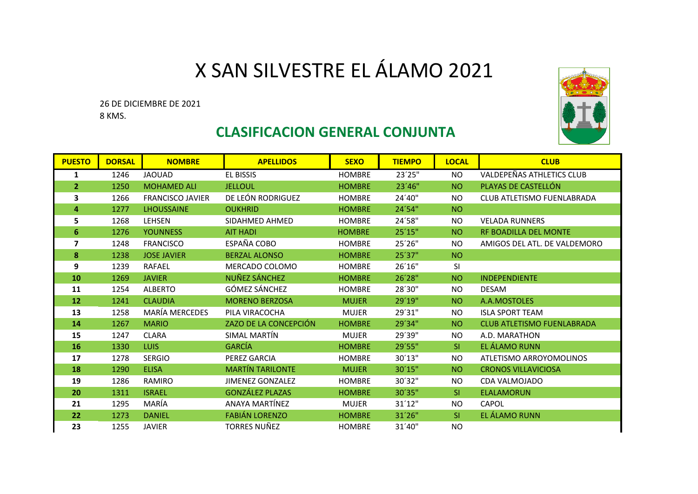## X SAN SILVESTRE EL ÁLAMO 2021

26 DE DICIEMBRE DE 2021 8 KMS.



## **CLASIFICACION GENERAL CONJUNTA**

| <b>PUESTO</b> | <b>DORSAL</b> | <b>NOMBRE</b>           | <b>APELLIDOS</b>        | <b>SEXO</b>   | <b>TIEMPO</b> | <b>LOCAL</b>    | <b>CLUB</b>                       |
|---------------|---------------|-------------------------|-------------------------|---------------|---------------|-----------------|-----------------------------------|
| 1             | 1246          | <b>JAOUAD</b>           | <b>EL BISSIS</b>        | <b>HOMBRE</b> | 23'25"        | NO.             | VALDEPEÑAS ATHLETICS CLUB         |
| 2             | 1250          | <b>MOHAMED ALI</b>      | <b>JELLOUL</b>          | <b>HOMBRE</b> | 23'46"        | <b>NO</b>       | PLAYAS DE CASTELLÓN               |
| 3             | 1266          | <b>FRANCISCO JAVIER</b> | DE LEÓN RODRIGUEZ       | <b>HOMBRE</b> | 24'40"        | <b>NO</b>       | <b>CLUB ATLETISMO FUENLABRADA</b> |
| 4             | 1277          | <b>LHOUSSAINE</b>       | <b>OUKHRID</b>          | <b>HOMBRE</b> | 24'54"        | NO <sub>1</sub> |                                   |
| 5             | 1268          | <b>LEHSEN</b>           | SIDAHMED AHMED          | <b>HOMBRE</b> | 24'58"        | NO.             | <b>VELADA RUNNERS</b>             |
| 6             | 1276          | <b>YOUNNESS</b>         | <b>AIT HADI</b>         | <b>HOMBRE</b> | 25'15"        | <b>NO</b>       | <b>RF BOADILLA DEL MONTE</b>      |
| 7             | 1248          | <b>FRANCISCO</b>        | ESPAÑA COBO             | <b>HOMBRE</b> | 25'26"        | <b>NO</b>       | AMIGOS DEL ATL. DE VALDEMORO      |
| 8             | 1238          | <b>JOSE JAVIER</b>      | <b>BERZAL ALONSO</b>    | <b>HOMBRE</b> | 25'37"        | NO <sub>1</sub> |                                   |
| 9             | 1239          | <b>RAFAEL</b>           | MERCADO COLOMO          | <b>HOMBRE</b> | 26'16"        | SI              |                                   |
| 10            | 1269          | <b>JAVIER</b>           | NUÑEZ SÁNCHEZ           | <b>HOMBRE</b> | 26'28"        | <b>NO</b>       | <b>INDEPENDIENTE</b>              |
| 11            | 1254          | <b>ALBERTO</b>          | GÓMEZ SÁNCHEZ           | <b>HOMBRE</b> | 28'30"        | NO.             | <b>DESAM</b>                      |
| 12            | 1241          | <b>CLAUDIA</b>          | <b>MORENO BERZOSA</b>   | <b>MUJER</b>  | 29'19"        | <b>NO</b>       | A.A.MOSTOLES                      |
| 13            | 1258          | MARÍA MERCEDES          | PILA VIRACOCHA          | <b>MUJER</b>  | 29'31"        | <b>NO</b>       | <b>ISLA SPORT TEAM</b>            |
| 14            | 1267          | <b>MARIO</b>            | ZAZO DE LA CONCEPCIÓN   | <b>HOMBRE</b> | 29'34"        | <b>NO</b>       | <b>CLUB ATLETISMO FUENLABRADA</b> |
| 15            | 1247          | <b>CLARA</b>            | SIMAL MARTIN            | <b>MUJER</b>  | 29'39"        | <b>NO</b>       | A.D. MARATHON                     |
| 16            | 1330          | <b>LUIS</b>             | <b>GARCÍA</b>           | <b>HOMBRE</b> | 29'55"        | SI.             | EL ÁLAMO RUNN                     |
| 17            | 1278          | <b>SERGIO</b>           | PEREZ GARCIA            | <b>HOMBRE</b> | 30'13"        | <b>NO</b>       | ATLETISMO ARROYOMOLINOS           |
| 18            | 1290          | <b>ELISA</b>            | <b>MARTÍN TARILONTE</b> | <b>MUJER</b>  | 30'15"        | <b>NO</b>       | <b>CRONOS VILLAVICIOSA</b>        |
| 19            | 1286          | RAMIRO                  | <b>JIMENEZ GONZALEZ</b> | <b>HOMBRE</b> | 30'32"        | <b>NO</b>       | <b>CDA VALMOJADO</b>              |
| 20            | 1311          | <b>ISRAEL</b>           | <b>GONZÁLEZ PLAZAS</b>  | <b>HOMBRE</b> | 30'35"        | SI.             | <b>ELALAMORUN</b>                 |
| 21            | 1295          | MARÍA                   | ANAYA MARTÍNEZ          | <b>MUJER</b>  | 31'12"        | <b>NO</b>       | <b>CAPOL</b>                      |
| 22            | 1273          | <b>DANIEL</b>           | <b>FABIÁN LORENZO</b>   | <b>HOMBRE</b> | 31'26"        | SI              | EL ÁLAMO RUNN                     |
| 23            | 1255          | <b>JAVIER</b>           | <b>TORRES NUÑEZ</b>     | <b>HOMBRE</b> | 31'40"        | <b>NO</b>       |                                   |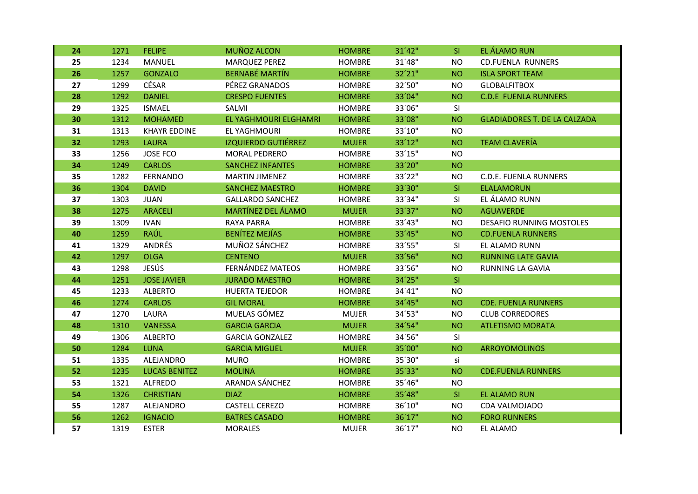| 24 | 1271 | <b>FELIPE</b>        | MUÑOZ ALCON                | <b>HOMBRE</b> | 31'42" | SI.       | EL ÁLAMO RUN                        |
|----|------|----------------------|----------------------------|---------------|--------|-----------|-------------------------------------|
| 25 | 1234 | MANUEL               | <b>MARQUEZ PEREZ</b>       | <b>HOMBRE</b> | 31'48" | NO.       | <b>CD.FUENLA RUNNERS</b>            |
| 26 | 1257 | <b>GONZALO</b>       | <b>BERNABÉ MARTÍN</b>      | <b>HOMBRE</b> | 32'21" | <b>NO</b> | <b>ISLA SPORT TEAM</b>              |
| 27 | 1299 | CÉSAR                | PÉREZ GRANADOS             | <b>HOMBRE</b> | 32'50" | NO.       | <b>GLOBALFITBOX</b>                 |
| 28 | 1292 | <b>DANIEL</b>        | <b>CRESPO FUENTES</b>      | <b>HOMBRE</b> | 33'04" | <b>NO</b> | <b>C.D.E FUENLA RUNNERS</b>         |
| 29 | 1325 | <b>ISMAEL</b>        | SALMI                      | <b>HOMBRE</b> | 33'06" | SI        |                                     |
| 30 | 1312 | <b>MOHAMED</b>       | EL YAGHMOURI ELGHAMRI      | <b>HOMBRE</b> | 33'08" | <b>NO</b> | <b>GLADIADORES T. DE LA CALZADA</b> |
| 31 | 1313 | <b>KHAYR EDDINE</b>  | EL YAGHMOURI               | <b>HOMBRE</b> | 33'10" | <b>NO</b> |                                     |
| 32 | 1293 | <b>LAURA</b>         | <b>IZQUIERDO GUTIÉRREZ</b> | <b>MUJER</b>  | 33'12" | <b>NO</b> | <b>TEAM CLAVERÍA</b>                |
| 33 | 1256 | <b>JOSE FCO</b>      | <b>MORAL PEDRERO</b>       | <b>HOMBRE</b> | 33'15" | <b>NO</b> |                                     |
| 34 | 1249 | <b>CARLOS</b>        | <b>SANCHEZ INFANTES</b>    | <b>HOMBRE</b> | 33'20" | <b>NO</b> |                                     |
| 35 | 1282 | <b>FERNANDO</b>      | <b>MARTIN JIMENEZ</b>      | <b>HOMBRE</b> | 33'22" | NO.       | C.D.E. FUENLA RUNNERS               |
| 36 | 1304 | <b>DAVID</b>         | <b>SANCHEZ MAESTRO</b>     | <b>HOMBRE</b> | 33'30" | SI        | <b>ELALAMORUN</b>                   |
| 37 | 1303 | <b>JUAN</b>          | <b>GALLARDO SANCHEZ</b>    | <b>HOMBRE</b> | 33'34" | SI        | EL ÁLAMO RUNN                       |
| 38 | 1275 | <b>ARACELI</b>       | MARTÍNEZ DEL ÁLAMO         | <b>MUJER</b>  | 33'37" | <b>NO</b> | <b>AGUAVERDE</b>                    |
| 39 | 1309 | <b>IVAN</b>          | <b>RAYA PARRA</b>          | <b>HOMBRE</b> | 33'43" | NO.       | <b>DESAFIO RUNNING MOSTOLES</b>     |
| 40 | 1259 | <b>RAÚL</b>          | <b>BENÍTEZ MEJÍAS</b>      | <b>HOMBRE</b> | 33'45" | <b>NO</b> | <b>CD.FUENLA RUNNERS</b>            |
| 41 | 1329 | ANDRÉS               | MUÑOZ SÁNCHEZ              | <b>HOMBRE</b> | 33'55" | <b>SI</b> | EL ALAMO RUNN                       |
| 42 | 1297 | <b>OLGA</b>          | <b>CENTENO</b>             | <b>MUJER</b>  | 33'56" | <b>NO</b> | <b>RUNNING LATE GAVIA</b>           |
| 43 | 1298 | <b>JESÚS</b>         | FERNÁNDEZ MATEOS           | <b>HOMBRE</b> | 33'56" | <b>NO</b> | RUNNING LA GAVIA                    |
| 44 | 1251 | <b>JOSE JAVIER</b>   | <b>JURADO MAESTRO</b>      | <b>HOMBRE</b> | 34'25" | SI        |                                     |
| 45 | 1233 | <b>ALBERTO</b>       | <b>HUERTA TEJEDOR</b>      | <b>HOMBRE</b> | 34'41" | <b>NO</b> |                                     |
| 46 | 1274 | <b>CARLOS</b>        | <b>GIL MORAL</b>           | <b>HOMBRE</b> | 34'45" | <b>NO</b> | <b>CDE. FUENLA RUNNERS</b>          |
| 47 | 1270 | LAURA                | MUELAS GÓMEZ               | <b>MUJER</b>  | 34'53" | <b>NO</b> | <b>CLUB CORREDORES</b>              |
| 48 | 1310 | <b>VANESSA</b>       | <b>GARCIA GARCIA</b>       | <b>MUJER</b>  | 34'54" | <b>NO</b> | <b>ATLETISMO MORATA</b>             |
| 49 | 1306 | <b>ALBERTO</b>       | <b>GARCIA GONZALEZ</b>     | <b>HOMBRE</b> | 34'56" | SI        |                                     |
| 50 | 1284 | <b>LUNA</b>          | <b>GARCIA MIGUEL</b>       | <b>MUJER</b>  | 35'00" | <b>NO</b> | <b>ARROYOMOLINOS</b>                |
| 51 | 1335 | ALEJANDRO            | <b>MURO</b>                | <b>HOMBRE</b> | 35'30" | si        |                                     |
| 52 | 1235 | <b>LUCAS BENITEZ</b> | <b>MOLINA</b>              | <b>HOMBRE</b> | 35'33" | <b>NO</b> | <b>CDE.FUENLA RUNNERS</b>           |
| 53 | 1321 | <b>ALFREDO</b>       | ARANDA SÁNCHEZ             | <b>HOMBRE</b> | 35'46" | <b>NO</b> |                                     |
| 54 | 1326 | <b>CHRISTIAN</b>     | <b>DIAZ</b>                | <b>HOMBRE</b> | 35'48" | SI        | EL ALAMO RUN                        |
| 55 | 1287 | ALEJANDRO            | CASTELL CEREZO             | <b>HOMBRE</b> | 36'10" | <b>NO</b> | CDA VALMOJADO                       |
| 56 | 1262 | <b>IGNACIO</b>       | <b>BATRES CASADO</b>       | <b>HOMBRE</b> | 36'17" | <b>NO</b> | <b>FORO RUNNERS</b>                 |
| 57 | 1319 | <b>ESTER</b>         | <b>MORALES</b>             | <b>MUJER</b>  | 36'17" | NO.       | EL ALAMO                            |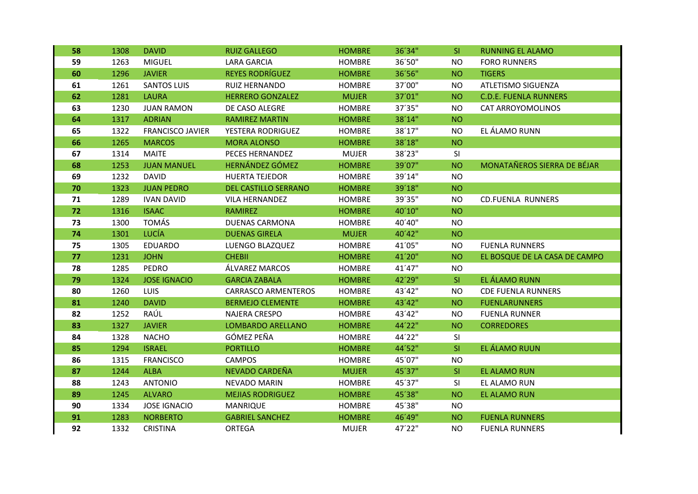| 58 | 1308 | <b>DAVID</b>            | <b>RUIZ GALLEGO</b>         | <b>HOMBRE</b> | 36'34" | SI.       | <b>RUNNING EL ALAMO</b>       |
|----|------|-------------------------|-----------------------------|---------------|--------|-----------|-------------------------------|
| 59 | 1263 | <b>MIGUEL</b>           | <b>LARA GARCIA</b>          | <b>HOMBRE</b> | 36'50" | <b>NO</b> | <b>FORO RUNNERS</b>           |
| 60 | 1296 | <b>JAVIER</b>           | <b>REYES RODRÍGUEZ</b>      | <b>HOMBRE</b> | 36'56" | <b>NO</b> | <b>TIGERS</b>                 |
| 61 | 1261 | <b>SANTOS LUIS</b>      | <b>RUIZ HERNANDO</b>        | <b>HOMBRE</b> | 37'00" | <b>NO</b> | ATLETISMO SIGUENZA            |
| 62 | 1281 | <b>LAURA</b>            | <b>HERRERO GONZALEZ</b>     | <b>MUJER</b>  | 37'01" | <b>NO</b> | <b>C.D.E. FUENLA RUNNERS</b>  |
| 63 | 1230 | <b>JUAN RAMON</b>       | DE CASO ALEGRE              | <b>HOMBRE</b> | 37'35" | <b>NO</b> | CAT ARROYOMOLINOS             |
| 64 | 1317 | <b>ADRIAN</b>           | <b>RAMIREZ MARTIN</b>       | <b>HOMBRE</b> | 38'14" | <b>NO</b> |                               |
| 65 | 1322 | <b>FRANCISCO JAVIER</b> | YESTERA RODRIGUEZ           | <b>HOMBRE</b> | 38'17" | NO.       | EL ÁLAMO RUNN                 |
| 66 | 1265 | <b>MARCOS</b>           | <b>MORA ALONSO</b>          | <b>HOMBRE</b> | 38'18" | <b>NO</b> |                               |
| 67 | 1314 | <b>MAITE</b>            | PECES HERNANDEZ             | <b>MUJER</b>  | 38'23" | <b>SI</b> |                               |
| 68 | 1253 | <b>JUAN MANUEL</b>      | <b>HERNÁNDEZ GÓMEZ</b>      | <b>HOMBRE</b> | 39'07" | <b>NO</b> | MONATAÑEROS SIERRA DE BÉJAR   |
| 69 | 1232 | <b>DAVID</b>            | <b>HUERTA TEJEDOR</b>       | <b>HOMBRE</b> | 39'14" | <b>NO</b> |                               |
| 70 | 1323 | <b>JUAN PEDRO</b>       | <b>DEL CASTILLO SERRANO</b> | <b>HOMBRE</b> | 39'18" | NO        |                               |
| 71 | 1289 | <b>IVAN DAVID</b>       | <b>VILA HERNANDEZ</b>       | <b>HOMBRE</b> | 39'35" | <b>NO</b> | <b>CD.FUENLA RUNNERS</b>      |
| 72 | 1316 | <b>ISAAC</b>            | <b>RAMIREZ</b>              | <b>HOMBRE</b> | 40'10" | <b>NO</b> |                               |
| 73 | 1300 | <b>TOMÁS</b>            | <b>DUENAS CARMONA</b>       | <b>HOMBRE</b> | 40'40" | <b>NO</b> |                               |
| 74 | 1301 | <b>LUCÍA</b>            | <b>DUENAS GIRELA</b>        | <b>MUJER</b>  | 40'42" | <b>NO</b> |                               |
| 75 | 1305 | <b>EDUARDO</b>          | LUENGO BLAZQUEZ             | <b>HOMBRE</b> | 41'05" | <b>NO</b> | <b>FUENLA RUNNERS</b>         |
| 77 | 1231 | <b>JOHN</b>             | <b>CHEBII</b>               | <b>HOMBRE</b> | 41'20" | NO        | EL BOSQUE DE LA CASA DE CAMPO |
| 78 | 1285 | <b>PEDRO</b>            | ÁLVAREZ MARCOS              | <b>HOMBRE</b> | 41'47" | <b>NO</b> |                               |
| 79 | 1324 | <b>JOSE IGNACIO</b>     | <b>GARCIA ZABALA</b>        | <b>HOMBRE</b> | 42'29" | SI        | EL ÁLAMO RUNN                 |
| 80 | 1260 | <b>LUIS</b>             | <b>CARRASCO ARMENTEROS</b>  | <b>HOMBRE</b> | 43'42" | <b>NO</b> | <b>CDE FUENLA RUNNERS</b>     |
| 81 | 1240 | <b>DAVID</b>            | <b>BERMEJO CLEMENTE</b>     | <b>HOMBRE</b> | 43'42" | <b>NO</b> | <b>FUENLARUNNERS</b>          |
| 82 | 1252 | RAÚL                    | <b>NAJERA CRESPO</b>        | <b>HOMBRE</b> | 43'42" | <b>NO</b> | <b>FUENLA RUNNER</b>          |
| 83 | 1327 | <b>JAVIER</b>           | <b>LOMBARDO ARELLANO</b>    | <b>HOMBRE</b> | 44'22" | <b>NO</b> | <b>CORREDORES</b>             |
| 84 | 1328 | <b>NACHO</b>            | GÓMEZ PEÑA                  | <b>HOMBRE</b> | 44'22" | SI        |                               |
| 85 | 1294 | <b>ISRAEL</b>           | <b>PORTILLO</b>             | <b>HOMBRE</b> | 44'52" | SI        | EL ÁLAMO RUUN                 |
| 86 | 1315 | <b>FRANCISCO</b>        | <b>CAMPOS</b>               | <b>HOMBRE</b> | 45'07" | NO.       |                               |
| 87 | 1244 | <b>ALBA</b>             | NEVADO CARDEÑA              | <b>MUJER</b>  | 45'37" | SI.       | <b>EL ALAMO RUN</b>           |
| 88 | 1243 | <b>ANTONIO</b>          | <b>NEVADO MARIN</b>         | <b>HOMBRE</b> | 45'37" | SI.       | EL ALAMO RUN                  |
| 89 | 1245 | <b>ALVARO</b>           | <b>MEJIAS RODRIGUEZ</b>     | <b>HOMBRE</b> | 45'38" | <b>NO</b> | EL ALAMO RUN                  |
| 90 | 1334 | <b>JOSE IGNACIO</b>     | <b>MANRIQUE</b>             | <b>HOMBRE</b> | 45'38" | <b>NO</b> |                               |
| 91 | 1283 | <b>NORBERTO</b>         | <b>GABRIEL SANCHEZ</b>      | <b>HOMBRE</b> | 46'49" | <b>NO</b> | <b>FUENLA RUNNERS</b>         |
| 92 | 1332 | <b>CRISTINA</b>         | <b>ORTEGA</b>               | <b>MUJER</b>  | 47'22" | NO.       | <b>FUENLA RUNNERS</b>         |